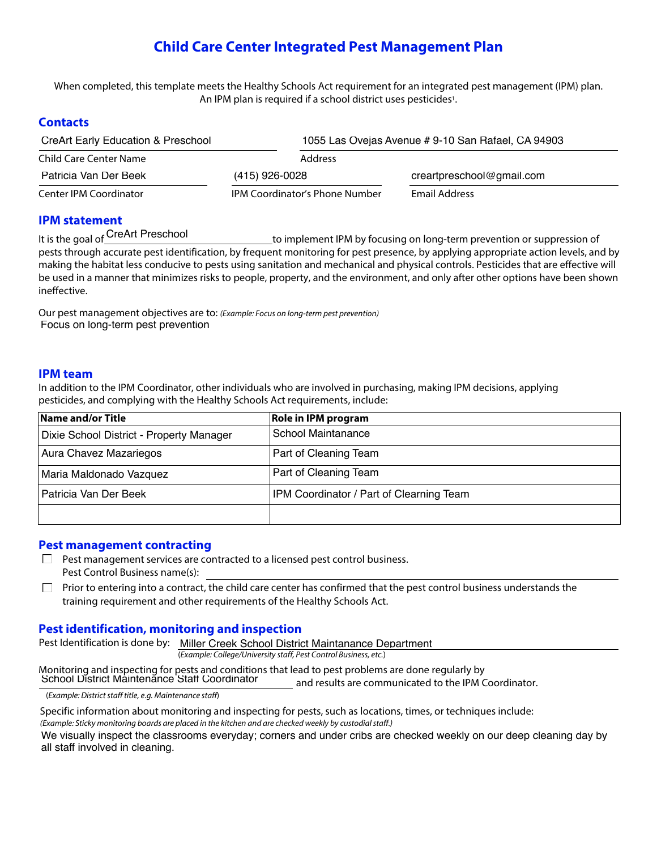# **Child Care Center Integrated Pest Management Plan**

When completed, this template meets the Healthy Schools Act requirement for an integrated pest management (IPM) plan. An IPM plan is required if a school district uses pesticides<sup>1</sup>.

# **Contacts**

| <b>CreArt Early Education &amp; Preschool</b> |                                       | 1055 Las Ovejas Avenue # 9-10 San Rafael, CA 94903 |  |  |  |
|-----------------------------------------------|---------------------------------------|----------------------------------------------------|--|--|--|
| Child Care Center Name                        | Address                               |                                                    |  |  |  |
| Patricia Van Der Beek                         | (415) 926-0028                        | creartpreschool@gmail.com                          |  |  |  |
| Center IPM Coordinator                        | <b>IPM Coordinator's Phone Number</b> | Email Address                                      |  |  |  |

# **IPM statement**

It is the goal of CreArt Preschool

to implement IPM by focusing on long-term prevention or suppression of pests through accurate pest identification, by frequent monitoring for pest presence, by applying appropriate action levels, and by making the habitat less conducive to pests using sanitation and mechanical and physical controls. Pesticides that are effective will be used in a manner that minimizes risks to people, property, and the environment, and only after other options have been shown ineffective.

Our pest management objectives are to: *(Example: Focus on long-term pest prevention)* Focus on long-term pest prevention

#### **IPM team**

In addition to the IPM Coordinator, other individuals who are involved in purchasing, making IPM decisions, applying pesticides, and complying with the Healthy Schools Act requirements, include:

| Name and/or Title                        | <b>Role in IPM program</b>                      |
|------------------------------------------|-------------------------------------------------|
| Dixie School District - Property Manager | School Maintanance                              |
| Aura Chavez Mazariegos                   | <b>Part of Cleaning Team</b>                    |
| Maria Maldonado Vazquez                  | <b>Part of Cleaning Team</b>                    |
| Patricia Van Der Beek                    | <b>IPM Coordinator / Part of Clearning Team</b> |
|                                          |                                                 |

#### **Pest management contracting**

- $\Box$  Pest management services are contracted to a licensed pest control business. Pest Control Business name(s):
- Prior to entering into a contract, the child care center has confirmed that the pest control business understands the  $\Box$ training requirement and other requirements of the Healthy Schools Act.

# **Pest identification, monitoring and inspection**

Pest Identification is done by: Miller Creek School District Maintanance Department (*Example: College/University staff, Pest Control Business, etc.*)

Monitoring and inspecting for pests and conditions that lead to pest problems are done regularly by

and results are communicated to the IPM Coordinator. School District Maintenance Staff Coordinator

(*Example: District staff title, e.g. Maintenance staff*)

Specific information about monitoring and inspecting for pests, such as locations, times, or techniques include:

*(Example: Sticky monitoring boards are placed in the kitchen and are checked weekly by custodial staff.)*

We visually inspect the classrooms everyday; corners and under cribs are checked weekly on our deep cleaning day by all staff involved in cleaning.